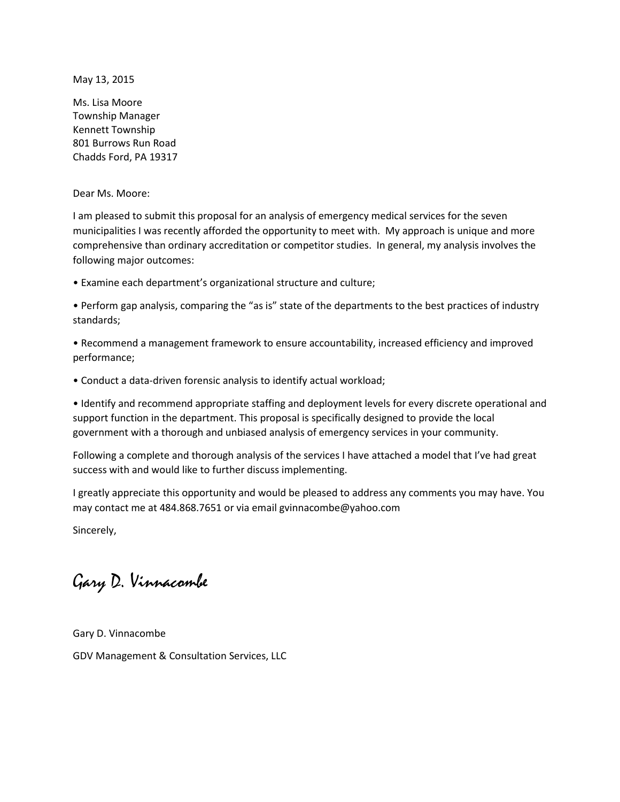May 13, 2015

Ms. Lisa Moore Township Manager Kennett Township 801 Burrows Run Road Chadds Ford, PA 19317

Dear Ms. Moore:

I am pleased to submit this proposal for an analysis of emergency medical services for the seven municipalities I was recently afforded the opportunity to meet with. My approach is unique and more comprehensive than ordinary accreditation or competitor studies. In general, my analysis involves the following major outcomes:

• Examine each department's organizational structure and culture;

• Perform gap analysis, comparing the "as is" state of the departments to the best practices of industry standards;

• Recommend a management framework to ensure accountability, increased efficiency and improved performance;

• Conduct a data-driven forensic analysis to identify actual workload;

• Identify and recommend appropriate staffing and deployment levels for every discrete operational and support function in the department. This proposal is specifically designed to provide the local government with a thorough and unbiased analysis of emergency services in your community.

Following a complete and thorough analysis of the services I have attached a model that I've had great success with and would like to further discuss implementing.

I greatly appreciate this opportunity and would be pleased to address any comments you may have. You may contact me at 484.868.7651 or via email gvinnacombe@yahoo.com

Sincerely,

Gary D. Vinnacombe

Gary D. Vinnacombe GDV Management & Consultation Services, LLC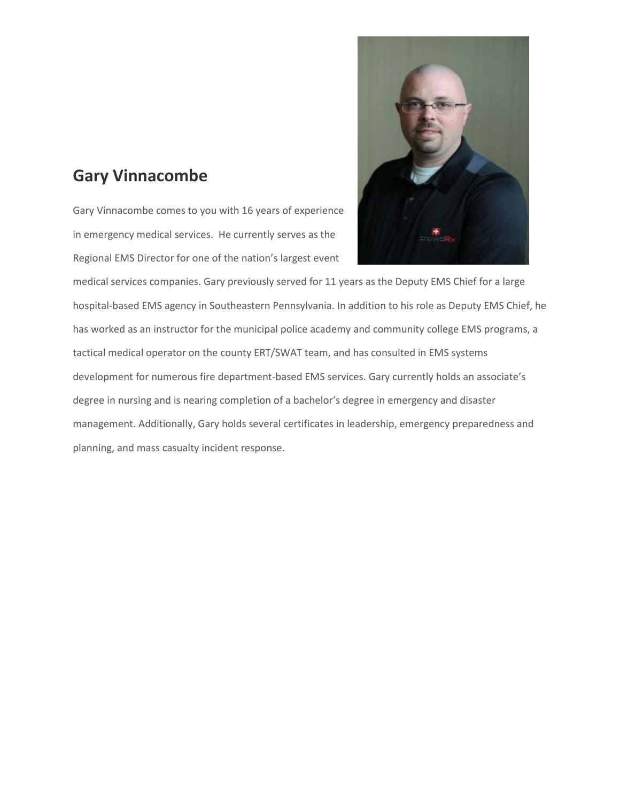# **Gary Vinnacombe**

Gary Vinnacombe comes to you with 16 years of experience in emergency medical services. He currently serves as the Regional EMS Director for one of the nation's largest event



medical services companies. Gary previously served for 11 years as the Deputy EMS Chief for a large hospital-based EMS agency in Southeastern Pennsylvania. In addition to his role as Deputy EMS Chief, he has worked as an instructor for the municipal police academy and community college EMS programs, a tactical medical operator on the county ERT/SWAT team, and has consulted in EMS systems development for numerous fire department-based EMS services. Gary currently holds an associate's degree in nursing and is nearing completion of a bachelor's degree in emergency and disaster management. Additionally, Gary holds several certificates in leadership, emergency preparedness and planning, and mass casualty incident response.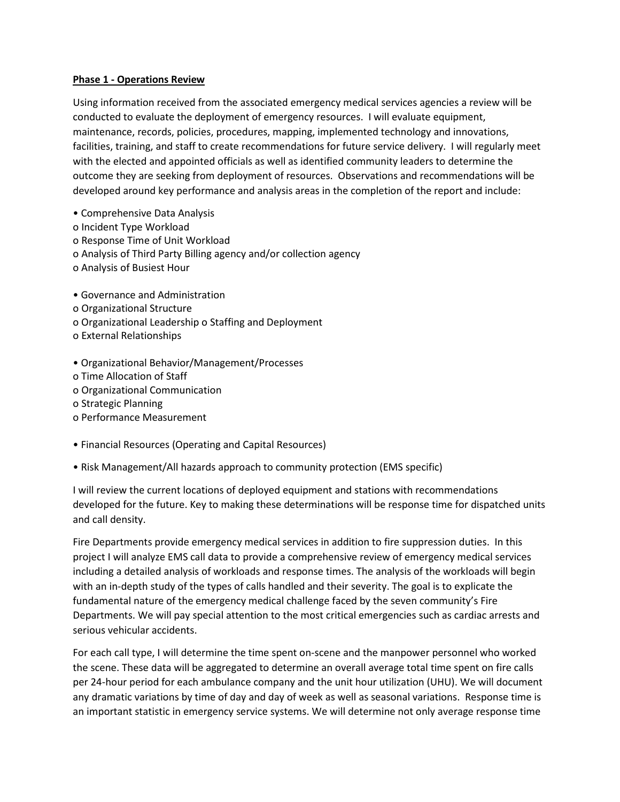#### **Phase 1 - Operations Review**

Using information received from the associated emergency medical services agencies a review will be conducted to evaluate the deployment of emergency resources. I will evaluate equipment, maintenance, records, policies, procedures, mapping, implemented technology and innovations, facilities, training, and staff to create recommendations for future service delivery. I will regularly meet with the elected and appointed officials as well as identified community leaders to determine the outcome they are seeking from deployment of resources. Observations and recommendations will be developed around key performance and analysis areas in the completion of the report and include:

• Comprehensive Data Analysis o Incident Type Workload o Response Time of Unit Workload o Analysis of Third Party Billing agency and/or collection agency o Analysis of Busiest Hour

• Governance and Administration

- o Organizational Structure
- o Organizational Leadership o Staffing and Deployment
- o External Relationships
- Organizational Behavior/Management/Processes
- o Time Allocation of Staff
- o Organizational Communication
- o Strategic Planning
- o Performance Measurement
- Financial Resources (Operating and Capital Resources)
- Risk Management/All hazards approach to community protection (EMS specific)

I will review the current locations of deployed equipment and stations with recommendations developed for the future. Key to making these determinations will be response time for dispatched units and call density.

Fire Departments provide emergency medical services in addition to fire suppression duties. In this project I will analyze EMS call data to provide a comprehensive review of emergency medical services including a detailed analysis of workloads and response times. The analysis of the workloads will begin with an in-depth study of the types of calls handled and their severity. The goal is to explicate the fundamental nature of the emergency medical challenge faced by the seven community's Fire Departments. We will pay special attention to the most critical emergencies such as cardiac arrests and serious vehicular accidents.

For each call type, I will determine the time spent on-scene and the manpower personnel who worked the scene. These data will be aggregated to determine an overall average total time spent on fire calls per 24-hour period for each ambulance company and the unit hour utilization (UHU). We will document any dramatic variations by time of day and day of week as well as seasonal variations. Response time is an important statistic in emergency service systems. We will determine not only average response time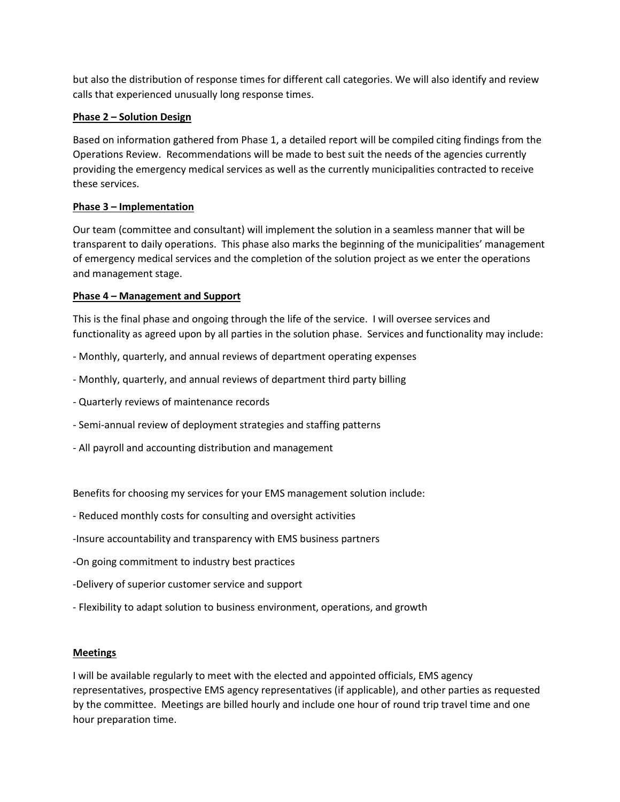but also the distribution of response times for different call categories. We will also identify and review calls that experienced unusually long response times.

## **Phase 2 – Solution Design**

Based on information gathered from Phase 1, a detailed report will be compiled citing findings from the Operations Review. Recommendations will be made to best suit the needs of the agencies currently providing the emergency medical services as well as the currently municipalities contracted to receive these services.

## **Phase 3 – Implementation**

Our team (committee and consultant) will implement the solution in a seamless manner that will be transparent to daily operations. This phase also marks the beginning of the municipalities' management of emergency medical services and the completion of the solution project as we enter the operations and management stage.

## **Phase 4 – Management and Support**

This is the final phase and ongoing through the life of the service. I will oversee services and functionality as agreed upon by all parties in the solution phase. Services and functionality may include:

- Monthly, quarterly, and annual reviews of department operating expenses
- Monthly, quarterly, and annual reviews of department third party billing
- Quarterly reviews of maintenance records
- Semi-annual review of deployment strategies and staffing patterns
- All payroll and accounting distribution and management

Benefits for choosing my services for your EMS management solution include:

- Reduced monthly costs for consulting and oversight activities
- -Insure accountability and transparency with EMS business partners
- -On going commitment to industry best practices
- -Delivery of superior customer service and support
- Flexibility to adapt solution to business environment, operations, and growth

## **Meetings**

I will be available regularly to meet with the elected and appointed officials, EMS agency representatives, prospective EMS agency representatives (if applicable), and other parties as requested by the committee. Meetings are billed hourly and include one hour of round trip travel time and one hour preparation time.